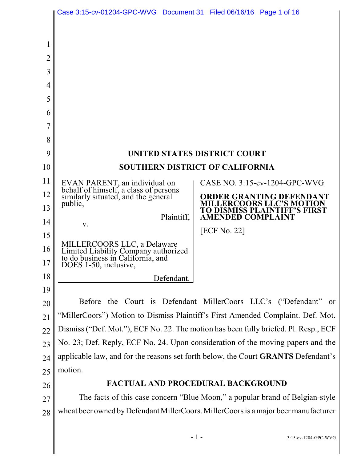|                | Case 3:15-cv-01204-GPC-WVG  Document 31  Filed 06/16/16  Page 1 of 16                                    |                                                                                       |
|----------------|----------------------------------------------------------------------------------------------------------|---------------------------------------------------------------------------------------|
|                |                                                                                                          |                                                                                       |
|                |                                                                                                          |                                                                                       |
| $\overline{2}$ |                                                                                                          |                                                                                       |
| 3              |                                                                                                          |                                                                                       |
| $\overline{4}$ |                                                                                                          |                                                                                       |
| 5              |                                                                                                          |                                                                                       |
| 6              |                                                                                                          |                                                                                       |
| 7              |                                                                                                          |                                                                                       |
| 8              |                                                                                                          |                                                                                       |
| 9              |                                                                                                          | <b>UNITED STATES DISTRICT COURT</b>                                                   |
| 10             | <b>SOUTHERN DISTRICT OF CALIFORNIA</b>                                                                   |                                                                                       |
| 11             | EVAN PARENT, an individual on<br>behalf of himself, a class of persons                                   | CASE NO. 3:15-cv-1204-GPC-WVG                                                         |
| 12             | similarly situated, and the general                                                                      | <b>ORDER GRANTING DEFENDANT</b>                                                       |
| 13             | public,                                                                                                  | <b>MILLERCOORS LLC'S MOTION</b><br>TO DISMISS PLAINTIFF'S FIRST                       |
| 14             | Plaintiff,<br>V.                                                                                         | <b>AMENDED COMPLAINT</b>                                                              |
| 15             |                                                                                                          | [ECF No. 22]                                                                          |
| 16             | MILLERCOORS LLC, a Delaware<br>Limited Liability Company authorized<br>to do business in California, and |                                                                                       |
| 17             | DOES 1-50, inclusive,                                                                                    |                                                                                       |
| 18             | Defendant.                                                                                               |                                                                                       |
| 19             |                                                                                                          |                                                                                       |
| 20             | <b>Before</b>                                                                                            | the Court is Defendant MillerCoors LLC's ("Defendant" or                              |
| 21             | "MillerCoors") Motion to Dismiss Plaintiff's First Amended Complaint. Def. Mot.                          |                                                                                       |
| 22             | Dismiss ("Def. Mot."), ECF No. 22. The motion has been fully briefed. Pl. Resp., ECF                     |                                                                                       |
| 23             | No. 23; Def. Reply, ECF No. 24. Upon consideration of the moving papers and the                          |                                                                                       |
| 24             | applicable law, and for the reasons set forth below, the Court GRANTS Defendant's                        |                                                                                       |
| 25             | motion.                                                                                                  |                                                                                       |
| 26             | <b>FACTUAL AND PROCEDURAL BACKGROUND</b>                                                                 |                                                                                       |
| 27             | The facts of this case concern "Blue Moon," a popular brand of Belgian-style                             |                                                                                       |
| 28             |                                                                                                          | wheat beer owned by Defendant Miller Coors. Miller Coors is a major beer manufacturer |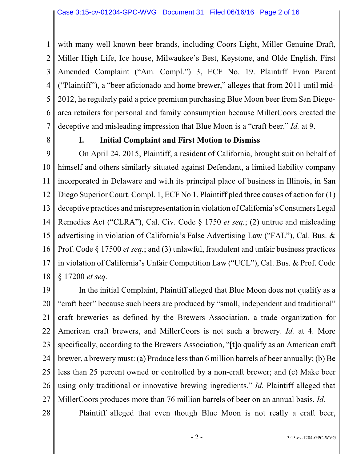1 2 3 4 5 6 7 with many well-known beer brands, including Coors Light, Miller Genuine Draft, Miller High Life, Ice house, Milwaukee's Best, Keystone, and Olde English. First Amended Complaint ("Am. Compl.") 3, ECF No. 19. Plaintiff Evan Parent ("Plaintiff"), a "beer aficionado and home brewer," alleges that from 2011 until mid-2012, he regularly paid a price premium purchasing Blue Moon beer from San Diegoarea retailers for personal and family consumption because MillerCoors created the deceptive and misleading impression that Blue Moon is a "craft beer." *Id.* at 9.

8

#### **I. Initial Complaint and First Motion to Dismiss**

9 10 11 12 13 14 15 16 17 18 On April 24, 2015, Plaintiff, a resident of California, brought suit on behalf of himself and others similarly situated against Defendant, a limited liability company incorporated in Delaware and with its principal place of business in Illinois, in San Diego Superior Court. Compl. 1, ECF No 1. Plaintiff pled three causes of action for (1) deceptive practices and misrepresentation in violation ofCalifornia's Consumers Legal Remedies Act ("CLRA"), Cal. Civ. Code § 1750 *et seq.*; (2) untrue and misleading advertising in violation of California's False Advertising Law ("FAL"), Cal. Bus. & Prof. Code § 17500 *et seq.*; and (3) unlawful, fraudulent and unfair business practices in violation of California's Unfair Competition Law ("UCL"), Cal. Bus. & Prof. Code § 17200 *et seq.* 

19 20 21 22 23 24 25 26 27 In the initial Complaint, Plaintiff alleged that Blue Moon does not qualify as a "craft beer" because such beers are produced by "small, independent and traditional" craft breweries as defined by the Brewers Association, a trade organization for American craft brewers, and MillerCoors is not such a brewery. *Id.* at 4. More specifically, according to the Brewers Association, "[t]o qualify as an American craft brewer, a brewery must: (a) Produce lessthan 6 million barrels of beer annually; (b) Be less than 25 percent owned or controlled by a non-craft brewer; and (c) Make beer using only traditional or innovative brewing ingredients." *Id.* Plaintiff alleged that MillerCoors produces more than 76 million barrels of beer on an annual basis. *Id.*

28

Plaintiff alleged that even though Blue Moon is not really a craft beer,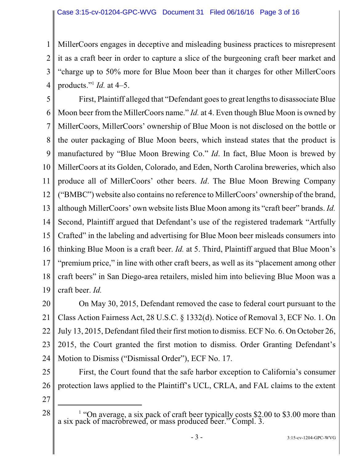1 2 3 4 MillerCoors engages in deceptive and misleading business practices to misrepresent it as a craft beer in order to capture a slice of the burgeoning craft beer market and "charge up to 50% more for Blue Moon beer than it charges for other MillerCoors products." *Id.* at 4–5. 1

5 6 7 8 9 10 11 12 13 14 15 16 17 18 19 First, Plaintiff alleged that "Defendant goesto great lengths to disassociate Blue Moon beer from the MillerCoors name." *Id.* at 4. Even though Blue Moon is owned by MillerCoors, MillerCoors' ownership of Blue Moon is not disclosed on the bottle or the outer packaging of Blue Moon beers, which instead states that the product is manufactured by "Blue Moon Brewing Co." *Id*. In fact, Blue Moon is brewed by MillerCoors at its Golden, Colorado, and Eden, North Carolina breweries, which also produce all of MillerCoors' other beers. *Id*. The Blue Moon Brewing Company ("BMBC") website also contains no reference to MillerCoors' ownership of the brand, although MillerCoors' own website lists Blue Moon among its "craft beer" brands. *Id.* Second, Plaintiff argued that Defendant's use of the registered trademark "Artfully Crafted" in the labeling and advertising for Blue Moon beer misleads consumers into thinking Blue Moon is a craft beer. *Id.* at 5. Third, Plaintiff argued that Blue Moon's "premium price," in line with other craft beers, as well as its "placement among other craft beers" in San Diego-area retailers, misled him into believing Blue Moon was a craft beer. *Id.*

20 21 22 23 24 On May 30, 2015, Defendant removed the case to federal court pursuant to the Class Action Fairness Act, 28 U.S.C. § 1332(d). Notice of Removal 3, ECF No. 1. On July 13, 2015, Defendant filed their first motion to dismiss. ECF No. 6. On October 26, 2015, the Court granted the first motion to dismiss. Order Granting Defendant's Motion to Dismiss ("Dismissal Order"), ECF No. 17.

25 26 First, the Court found that the safe harbor exception to California's consumer protection laws applied to the Plaintiff's UCL, CRLA, and FAL claims to the extent

27

28

 $1$  "On average, a six pack of craft beer typically costs \$2.00 to \$3.00 more than a six pack of macrobrewed, or mass produced beer." Compl. 3.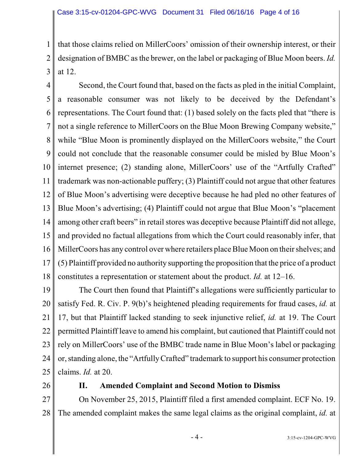1 2 3 that those claims relied on MillerCoors' omission of their ownership interest, or their designation of BMBC asthe brewer, on the label or packaging of Blue Moon beers. *Id.* at 12.

4 5 6 7 8 9 10 11 12 13 14 15 16 17 18 Second, the Court found that, based on the facts as pled in the initial Complaint, a reasonable consumer was not likely to be deceived by the Defendant's representations. The Court found that: (1) based solely on the facts pled that "there is not a single reference to MillerCoors on the Blue Moon Brewing Company website," while "Blue Moon is prominently displayed on the MillerCoors website," the Court could not conclude that the reasonable consumer could be misled by Blue Moon's internet presence; (2) standing alone, MillerCoors' use of the "Artfully Crafted" trademark was non-actionable puffery; (3) Plaintiff could not argue that other features of Blue Moon's advertising were deceptive because he had pled no other features of Blue Moon's advertising; (4) Plaintiff could not argue that Blue Moon's "placement among other craft beers" in retail stores was deceptive because Plaintiff did not allege, and provided no factual allegations from which the Court could reasonably infer, that MillerCoors has any control over where retailers place Blue Moon on their shelves; and (5) Plaintiff provided no authority supporting the proposition that the price of a product constitutes a representation or statement about the product. *Id.* at 12–16.

19 20 21 22 23 24 25 The Court then found that Plaintiff's allegations were sufficiently particular to satisfy Fed. R. Civ. P. 9(b)'s heightened pleading requirements for fraud cases, *id.* at 17, but that Plaintiff lacked standing to seek injunctive relief, *id.* at 19. The Court permitted Plaintiff leave to amend his complaint, but cautioned that Plaintiff could not rely on MillerCoors' use of the BMBC trade name in Blue Moon's label or packaging or, standing alone, the "Artfully Crafted" trademark to support his consumer protection claims. *Id.* at 20.

26

#### **II. Amended Complaint and Second Motion to Dismiss**

27 28 On November 25, 2015, Plaintiff filed a first amended complaint. ECF No. 19. The amended complaint makes the same legal claims as the original complaint, *id.* at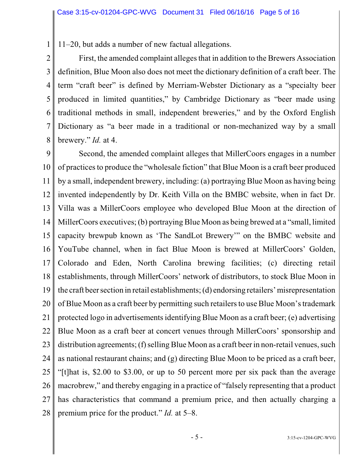1 11–20, but adds a number of new factual allegations.

2 3 4 5 6 7 8 First, the amended complaint alleges that in addition to the Brewers Association definition, Blue Moon also does not meet the dictionary definition of a craft beer. The term "craft beer" is defined by Merriam-Webster Dictionary as a "specialty beer produced in limited quantities," by Cambridge Dictionary as "beer made using traditional methods in small, independent breweries," and by the Oxford English Dictionary as "a beer made in a traditional or non-mechanized way by a small brewery." *Id.* at 4.

9 10 11 12 13 14 15 16 17 18 19 20 21 22 23 24 25 26 27 28 Second, the amended complaint alleges that MillerCoors engages in a number of practicesto produce the "wholesale fiction" that Blue Moon is a craft beer produced by a small, independent brewery, including: (a) portraying Blue Moon as having being invented independently by Dr. Keith Villa on the BMBC website, when in fact Dr. Villa was a MillerCoors employee who developed Blue Moon at the direction of MillerCoors executives; (b) portraying Blue Moon as being brewed at a "small, limited capacity brewpub known as 'The SandLot Brewery'" on the BMBC website and YouTube channel, when in fact Blue Moon is brewed at MillerCoors' Golden, Colorado and Eden, North Carolina brewing facilities; (c) directing retail establishments, through MillerCoors' network of distributors, to stock Blue Moon in the craft beer section in retail establishments; (d) endorsing retailers' misrepresentation of Blue Moon as a craft beer by permitting such retailersto use Blue Moon's trademark protected logo in advertisementsidentifying Blue Moon as a craft beer; (e) advertising Blue Moon as a craft beer at concert venues through MillerCoors' sponsorship and distribution agreements; (f) selling Blue Moon as a craft beer in non-retail venues, such as national restaurant chains; and (g) directing Blue Moon to be priced as a craft beer, "[t]hat is, \$2.00 to \$3.00, or up to 50 percent more per six pack than the average macrobrew," and thereby engaging in a practice of "falsely representing that a product has characteristics that command a premium price, and then actually charging a premium price for the product." *Id.* at 5–8.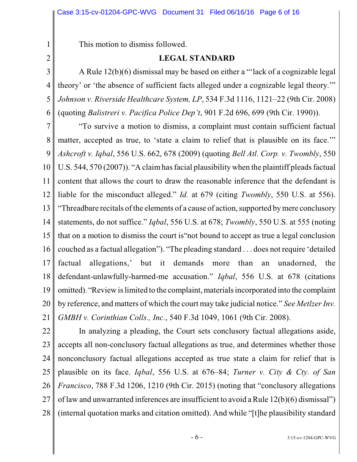This motion to dismiss followed.

### **LEGAL STANDARD**

2 3

4

5

6

1

A Rule 12(b)(6) dismissal may be based on either a "'lack of a cognizable legal theory' or 'the absence of sufficient facts alleged under a cognizable legal theory.'" *Johnson v. Riverside Healthcare System, LP*, 534 F.3d 1116, 1121–22 (9th Cir. 2008) (quoting *Balistreri v. Pacifica Police Dep't*, 901 F.2d 696, 699 (9th Cir. 1990)).

7 8 9 10 11 12 13 14 15 16 17 18 19 20 21 "To survive a motion to dismiss, a complaint must contain sufficient factual matter, accepted as true, to 'state a claim to relief that is plausible on its face.'" *Ashcroft v. Iqbal*, 556 U.S. 662, 678 (2009) (quoting *Bell Atl. Corp. v. Twombly*, 550 U.S. 544, 570 (2007)). "A claimhas facial plausibility when the plaintiff pleads factual content that allows the court to draw the reasonable inference that the defendant is liable for the misconduct alleged." *Id.* at 679 (citing *Twombly*, 550 U.S. at 556). "Threadbare recitals ofthe elements of a cause of action, supported by mere conclusory statements, do not suffice." *Iqbal*, 556 U.S. at 678; *Twombly*, 550 U.S. at 555 (noting that on a motion to dismiss the court is"not bound to accept as true a legal conclusion couched as a factual allegation"). "The pleading standard . . . does not require 'detailed factual allegations,' but it demands more than an unadorned, the defendant-unlawfully-harmed-me accusation." *Iqbal*, 556 U.S. at 678 (citations omitted). "Review islimited to the complaint, materials incorporated into the complaint by reference, and matters of which the court may take judicial notice." *See MetlzerInv. GMBH v. Corinthian Colls., Inc.*, 540 F.3d 1049, 1061 (9th Cir. 2008).

22 23 24 25 26 27 28 In analyzing a pleading, the Court sets conclusory factual allegations aside, accepts all non-conclusory factual allegations as true, and determines whether those nonconclusory factual allegations accepted as true state a claim for relief that is plausible on its face. *Iqbal*, 556 U.S. at 676–84; *Turner v. City & Cty. of San Francisco*, 788 F.3d 1206, 1210 (9th Cir. 2015) (noting that "conclusory allegations of law and unwarranted inferences are insufficient to avoid a Rule 12(b)(6) dismissal") (internal quotation marks and citation omitted). And while "[t]he plausibility standard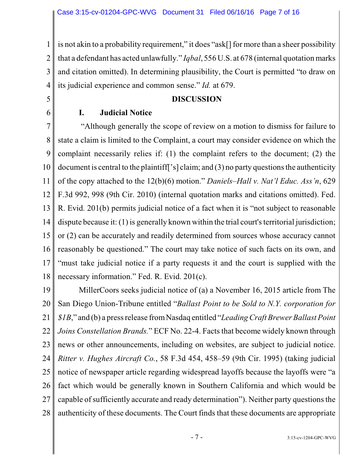1 2 3 4 is not akin to a probability requirement," it does "ask[] for more than a sheer possibility that a defendant has acted unlawfully." *Iqbal*, 556 U.S. at 678 (internal quotation marks and citation omitted). In determining plausibility, the Court is permitted "to draw on its judicial experience and common sense." *Id.* at 679.

#### **DISCUSSION**

#### **I. Judicial Notice**

5

6

7 8 9 10 11 12 13 14 15 16 17 18 "Although generally the scope of review on a motion to dismiss for failure to state a claim is limited to the Complaint, a court may consider evidence on which the complaint necessarily relies if: (1) the complaint refers to the document; (2) the document is central to the plaintiff['s] claim; and (3) no party questions the authenticity of the copy attached to the 12(b)(6) motion." *Daniels–Hall v. Nat'l Educ. Ass'n*, 629 F.3d 992, 998 (9th Cir. 2010) (internal quotation marks and citations omitted). Fed. R. Evid. 201(b) permits judicial notice of a fact when it is "not subject to reasonable dispute because it:  $(1)$  is generally known within the trial court's territorial jurisdiction; or (2) can be accurately and readily determined from sources whose accuracy cannot reasonably be questioned." The court may take notice of such facts on its own, and "must take judicial notice if a party requests it and the court is supplied with the necessary information." Fed. R. Evid. 201(c).

19 20 21 22 23 24 25 26 27 28 MillerCoors seeks judicial notice of (a) a November 16, 2015 article from The San Diego Union-Tribune entitled "*Ballast Point to be Sold to N.Y. corporation for \$1B*," and (b) a press release fromNasdaq entitled "*LeadingCraft BrewerBallast Point Joins Constellation Brands.*" ECF No. 22-4. Facts that become widely known through news or other announcements, including on websites, are subject to judicial notice. *Ritter v. Hughes Aircraft Co.*, 58 F.3d 454, 458–59 (9th Cir. 1995) (taking judicial notice of newspaper article regarding widespread layoffs because the layoffs were "a fact which would be generally known in Southern California and which would be capable of sufficiently accurate and ready determination"). Neither party questions the authenticity of these documents. The Court finds that these documents are appropriate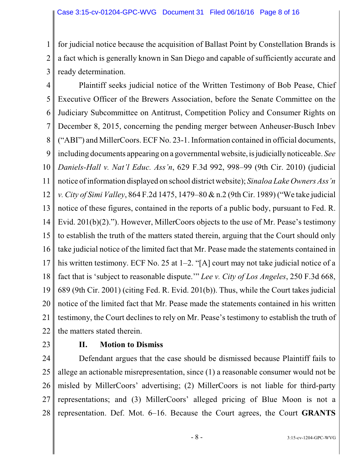1 2 3 for judicial notice because the acquisition of Ballast Point by Constellation Brands is a fact which is generally known in San Diego and capable of sufficiently accurate and ready determination.

4 5 6 7 8 9 10 11 12 13 14 15 16 17 18 19 20 21 22 Plaintiff seeks judicial notice of the Written Testimony of Bob Pease, Chief Executive Officer of the Brewers Association, before the Senate Committee on the Judiciary Subcommittee on Antitrust, Competition Policy and Consumer Rights on December 8, 2015, concerning the pending merger between Anheuser-Busch Inbev ("ABI") and MillerCoors. ECF No. 23-1. Information contained in official documents, including documents appearing on a governmental website, is judicially noticeable. *See Daniels-Hall v. Nat'l Educ. Ass'n*, 629 F.3d 992, 998–99 (9th Cir. 2010) (judicial notice ofinformation displayed on school district website); *Sinaloa Lake Owners Ass'n v. City of Simi Valley*, 864 F.2d 1475, 1479–80 & n.2 (9th Cir. 1989) ("We take judicial notice of these figures, contained in the reports of a public body, pursuant to Fed. R. Evid. 201(b)(2)."). However, MillerCoors objects to the use of Mr. Pease's testimony to establish the truth of the matters stated therein, arguing that the Court should only take judicial notice of the limited fact that Mr. Pease made the statements contained in his written testimony. ECF No. 25 at 1–2. "[A] court may not take judicial notice of a fact that is 'subject to reasonable dispute.'" *Lee v. City of Los Angeles*, 250 F.3d 668, 689 (9th Cir. 2001) (citing Fed. R. Evid. 201(b)). Thus, while the Court takes judicial notice of the limited fact that Mr. Pease made the statements contained in his written testimony, the Court declines to rely on Mr. Pease's testimony to establish the truth of the matters stated therein.

23

### **II. Motion to Dismiss**

24 25 26 27 28 Defendant argues that the case should be dismissed because Plaintiff fails to allege an actionable misrepresentation, since (1) a reasonable consumer would not be misled by MillerCoors' advertising; (2) MillerCoors is not liable for third-party representations; and (3) MillerCoors' alleged pricing of Blue Moon is not a representation. Def. Mot. 6–16. Because the Court agrees, the Court **GRANTS**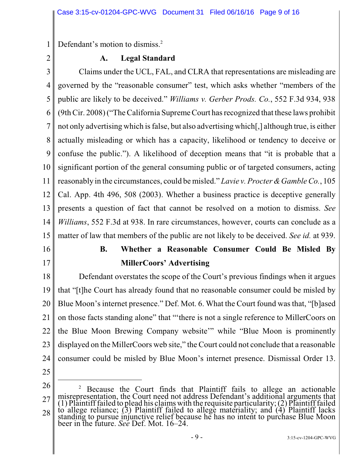1 Defendant's motion to dismiss.<sup>2</sup>

2

#### **A. Legal Standard**

3 4 5 6 7 8 9 10 11 12 13 14 15 Claims under the UCL, FAL, and CLRA that representations are misleading are governed by the "reasonable consumer" test, which asks whether "members of the public are likely to be deceived." *Williams v. Gerber Prods. Co.*, 552 F.3d 934, 938 (9thCir. 2008) ("TheCalifornia Supreme Court has recognized that these laws prohibit not only advertising which isfalse, but also advertising which[,] although true, is either actually misleading or which has a capacity, likelihood or tendency to deceive or confuse the public."). A likelihood of deception means that "it is probable that a significant portion of the general consuming public or of targeted consumers, acting reasonably in the circumstances, could be misled." *Lavie v. Procter &GambleCo.*, 105 Cal. App. 4th 496, 508 (2003). Whether a business practice is deceptive generally presents a question of fact that cannot be resolved on a motion to dismiss. *See Williams*, 552 F.3d at 938. In rare circumstances, however, courts can conclude as a matter of law that members of the public are not likely to be deceived. *See id.* at 939.

16

# 17

## **B. Whether a Reasonable Consumer Could Be Misled By MillerCoors' Advertising**

18 19 20 21 22 23 24 Defendant overstates the scope of the Court's previous findings when it argues that "[t]he Court has already found that no reasonable consumer could be misled by Blue Moon's internet presence." Def. Mot. 6. What the Court found was that, "[b]ased on those facts standing alone" that "'there is not a single reference to MillerCoors on the Blue Moon Brewing Company website'" while "Blue Moon is prominently displayed on the MillerCoors web site," the Court could not conclude that a reasonable consumer could be misled by Blue Moon's internet presence. Dismissal Order 13.

25

<sup>26</sup> 27 28 <sup>2</sup> Because the Court finds that Plaintiff fails to allege an actionable misrepresentation, the Court need not address Defendant's additional arguments that (1) Plaintiff failed to plead his claims with the requisite particularity;  $(2)$  Plaintiff failed to allege reliance; (3) Plaintiff failed to allege materiality; and (4) Plaintiff lacks standing to pursue injunctive relief because he has no intent to purchase Blue Moon beer in the future. *See* Def. Mot. 16–24.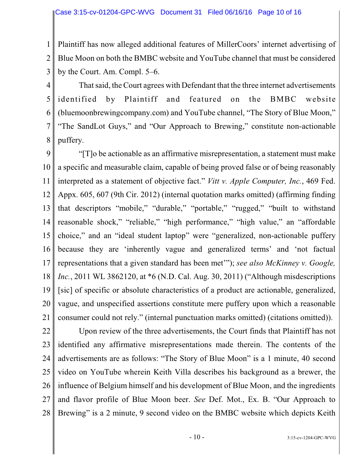1 2 3 Plaintiff has now alleged additional features of MillerCoors' internet advertising of Blue Moon on both the BMBC website and YouTube channel that must be considered by the Court. Am. Compl. 5–6.

4 5 6 7 8 That said, the Court agrees with Defendant that the three internet advertisements identified by Plaintiff and featured on the BMBC website (bluemoonbrewingcompany.com) and YouTube channel, "The Story of Blue Moon," "The SandLot Guys," and "Our Approach to Brewing," constitute non-actionable puffery.

9 10 11 12 13 14 15 16 17 18 19 20 21 "[T]o be actionable as an affirmative misrepresentation, a statement must make a specific and measurable claim, capable of being proved false or of being reasonably interpreted as a statement of objective fact." *Vitt v. Apple Computer, Inc.*, 469 Fed. Appx. 605, 607 (9th Cir. 2012) (internal quotation marks omitted) (affirming finding that descriptors "mobile," "durable," "portable," "rugged," "built to withstand reasonable shock," "reliable," "high performance," "high value," an "affordable choice," and an "ideal student laptop" were "generalized, non-actionable puffery because they are 'inherently vague and generalized terms' and 'not factual representations that a given standard has been met'"); *see also McKinney v. Google, Inc.*, 2011 WL 3862120, at \*6 (N.D. Cal. Aug. 30, 2011) ("Although misdescriptions" [sic] of specific or absolute characteristics of a product are actionable, generalized, vague, and unspecified assertions constitute mere puffery upon which a reasonable consumer could not rely." (internal punctuation marks omitted) (citations omitted)).

22

23 24 25

26 27 28 Upon review of the three advertisements, the Court finds that Plaintiff has not identified any affirmative misrepresentations made therein. The contents of the advertisements are as follows: "The Story of Blue Moon" is a 1 minute, 40 second video on YouTube wherein Keith Villa describes his background as a brewer, the influence of Belgium himself and his development of Blue Moon, and the ingredients and flavor profile of Blue Moon beer. *See* Def. Mot., Ex. B. "Our Approach to Brewing" is a 2 minute, 9 second video on the BMBC website which depicts Keith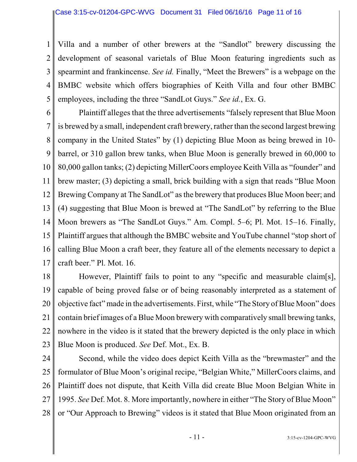1 2 3 4 5 Villa and a number of other brewers at the "Sandlot" brewery discussing the development of seasonal varietals of Blue Moon featuring ingredients such as spearmint and frankincense. *See id.* Finally, "Meet the Brewers" is a webpage on the BMBC website which offers biographies of Keith Villa and four other BMBC employees, including the three "SandLot Guys." *See id.*, Ex. G.

6 7 8 9 10 11 12 13 14 15 16 17 Plaintiff alleges that the three advertisements "falsely represent that Blue Moon is brewed by a small, independent craft brewery, rather than the second largest brewing company in the United States" by (1) depicting Blue Moon as being brewed in 10 barrel, or 310 gallon brew tanks, when Blue Moon is generally brewed in 60,000 to 80,000 gallon tanks; (2) depicting MillerCoors employee Keith Villa as "founder" and brew master; (3) depicting a small, brick building with a sign that reads "Blue Moon Brewing Company at The SandLot" as the brewery that produces Blue Moon beer; and (4) suggesting that Blue Moon is brewed at "The SandLot" by referring to the Blue Moon brewers as "The SandLot Guys." Am. Compl. 5–6; Pl. Mot. 15–16. Finally, Plaintiff argues that although the BMBC website and YouTube channel "stop short of calling Blue Moon a craft beer, they feature all of the elements necessary to depict a craft beer." Pl. Mot. 16.

18 19 20 21 22 23 However, Plaintiff fails to point to any "specific and measurable claim[s], capable of being proved false or of being reasonably interpreted as a statement of objective fact" made in the advertisements. First, while "The Story ofBlue Moon" does contain brief images of a Blue Moon brewery with comparatively small brewing tanks, nowhere in the video is it stated that the brewery depicted is the only place in which Blue Moon is produced. *See* Def. Mot., Ex. B.

24 25 26 27 28 Second, while the video does depict Keith Villa as the "brewmaster" and the formulator of Blue Moon's original recipe, "Belgian White," MillerCoors claims, and Plaintiff does not dispute, that Keith Villa did create Blue Moon Belgian White in 1995. *See* Def. Mot. 8. More importantly, nowhere in either "The Story of Blue Moon" or "Our Approach to Brewing" videos is it stated that Blue Moon originated from an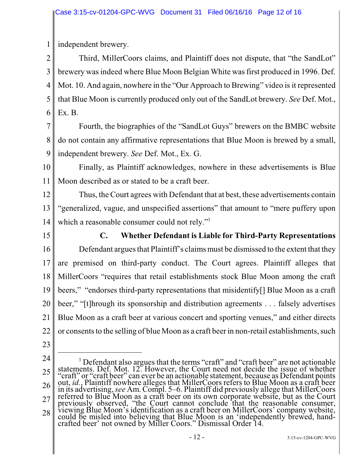1 independent brewery.

2 3 4 5 6 Third, MillerCoors claims, and Plaintiff does not dispute, that "the SandLot" brewery was indeed where Blue Moon Belgian White was first produced in 1996. Def. Mot. 10. And again, nowhere in the "Our Approach to Brewing" video is it represented that Blue Moon is currently produced only out of the SandLot brewery. *See* Def. Mot., Ex. B.

7 8 9 Fourth, the biographies of the "SandLot Guys" brewers on the BMBC website do not contain any affirmative representations that Blue Moon is brewed by a small, independent brewery. *See* Def. Mot., Ex. G.

10 11 Finally, as Plaintiff acknowledges, nowhere in these advertisements is Blue Moon described as or stated to be a craft beer.

12 13 14 Thus, the Court agrees with Defendant that at best, these advertisements contain "generalized, vague, and unspecified assertions" that amount to "mere puffery upon which a reasonable consumer could not rely."<sup>3</sup>

15

16

17

18

**C. Whether Defendant is Liable for Third-Party Representations** Defendant argues that Plaintiff's claims must be dismissed to the extent that they are premised on third-party conduct. The Court agrees. Plaintiff alleges that MillerCoors "requires that retail establishments stock Blue Moon among the craft

19 20 21 22 beers," "endorses third-party representations that misidentify[] Blue Moon as a craft beer," "[t]hrough its sponsorship and distribution agreements . . . falsely advertises Blue Moon as a craft beer at various concert and sporting venues," and either directs or consents to the selling of blue Moon as a craft beer in non-retail establishments, such

- 23
- 24

<sup>25</sup> 26 27 28 <sup>3</sup> Defendant also argues that the terms "craft" and "craft beer" are not actionable statements. Def. Mot. 12. However, the Court need not decide the issue of whether "craft" or "craft beer" can ever be an actionable statement, because as Defendant points out, *id.*, Plaintiff nowhere alleges that MillerCoors refers to Blue Moon as a craft beer in its advertising, *see* Am. Compl. 5–6. Plaintiff did previously allege that MillerCoors referred to Blue Moon as a craft beer on its own corporate website, but as the Court previously observed, "the Court cannot conclude that the reasonable consumer, viewing Blue Moon's identification as a craft beer on MillerCoors' company website, could be misled into believing that Blue Moon is an 'independently brewed, handcrafted beer' not owned by Miller Coors." Dismissal Order 14.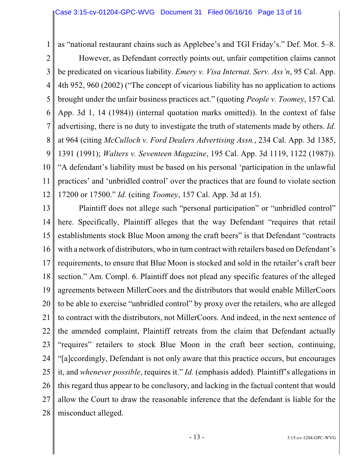1 as "national restaurant chains such as Applebee's and TGI Friday's." Def. Mot. 5–8.

2

3 4 5 6 7 8 9 10 11 12 However, as Defendant correctly points out, unfair competition claims cannot be predicated on vicarious liability. *Emery v. Visa Internat. Serv. Ass'n*, 95 Cal. App. 4th 952, 960 (2002) ("The concept of vicarious liability has no application to actions brought under the unfair business practices act." (quoting *People v. Toomey*, 157 Cal. App. 3d 1, 14 (1984)) (internal quotation marks omitted)). In the context of false advertising, there is no duty to investigate the truth of statements made by others. *Id.* at 964 (citing *McCulloch v. Ford Dealers Advertising Assn.*, 234 Cal. App. 3d 1385, 1391 (1991); *Walters v. Seventeen Magazine*, 195 Cal. App. 3d 1119, 1122 (1987)). "A defendant's liability must be based on his personal 'participation in the unlawful practices' and 'unbridled control' over the practices that are found to violate section 17200 or 17500." *Id.* (citing *Toomey*, 157 Cal. App. 3d at 15).

13 14 15 16 17 18 19 20 21 22 23 24 25 26 27 28 Plaintiff does not allege such "personal participation" or "unbridled control" here. Specifically, Plaintiff alleges that the way Defendant "requires that retail establishments stock Blue Moon among the craft beers" is that Defendant "contracts with a network of distributors, who in turn contract with retailers based on Defendant's requirements, to ensure that Blue Moon is stocked and sold in the retailer's craft beer section." Am. Compl. 6. Plaintiff does not plead any specific features of the alleged agreements between MillerCoors and the distributors that would enable MillerCoors to be able to exercise "unbridled control" by proxy over the retailers, who are alleged to contract with the distributors, not MillerCoors. And indeed, in the next sentence of the amended complaint, Plaintiff retreats from the claim that Defendant actually "requires" retailers to stock Blue Moon in the craft beer section, continuing, "[a]ccordingly, Defendant is not only aware that this practice occurs, but encourages it, and *whenever possible*, requires it." *Id.* (emphasis added). Plaintiff's allegations in this regard thus appear to be conclusory, and lacking in the factual content that would allow the Court to draw the reasonable inference that the defendant is liable for the misconduct alleged.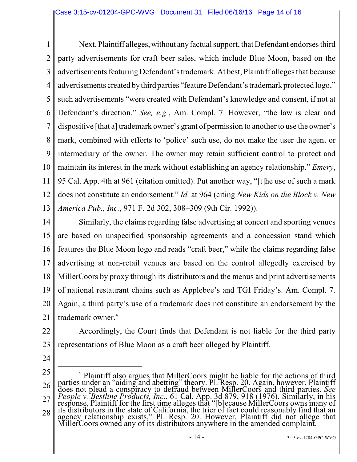1 2 3 4 5 6 7 8 9 10 11 12 13 Next, Plaintiff alleges, without any factual support, that Defendant endorses third party advertisements for craft beer sales, which include Blue Moon, based on the advertisements featuring Defendant's trademark. At best, Plaintiff alleges that because advertisements created bythird parties "feature Defendant's trademark protected logo," such advertisements "were created with Defendant's knowledge and consent, if not at Defendant's direction." *See, e.g.*, Am. Compl. 7. However, "the law is clear and dispositive [that a] trademark owner's grant of permission to another to use the owner's mark, combined with efforts to 'police' such use, do not make the user the agent or intermediary of the owner. The owner may retain sufficient control to protect and maintain its interest in the mark without establishing an agency relationship." *Emery*, 95 Cal. App. 4th at 961 (citation omitted). Put another way, "[t]he use of such a mark does not constitute an endorsement." *Id.* at 964 (citing *New Kids on the Block v. New America Pub., Inc.*, 971 F. 2d 302, 308–309 (9th Cir. 1992)).

- 14 15 16 17 18 19 20 21 Similarly, the claims regarding false advertising at concert and sporting venues are based on unspecified sponsorship agreements and a concession stand which features the Blue Moon logo and reads "craft beer," while the claims regarding false advertising at non-retail venues are based on the control allegedly exercised by MillerCoors by proxy through its distributors and the menus and print advertisements of national restaurant chains such as Applebee's and TGI Friday's. Am. Compl. 7. Again, a third party's use of a trademark does not constitute an endorsement by the trademark owner.<sup>4</sup>
	-

22 23 Accordingly, the Court finds that Defendant is not liable for the third party representations of Blue Moon as a craft beer alleged by Plaintiff.

- 24
- 25

26 27 28 <sup>4</sup> Plaintiff also argues that MillerCoors might be liable for the actions of third parties under an "aiding and abetting" theory. Pl. Resp. 20. Again, however, Plaintiff does not plead a conspiracy to defraud between MillerCoors and third parties. *See People v. Bestline Products, Inc.*, 61 Cal. App. 3d 879, 918 (1976). Similarly, in his response, Plaintiff for the first time alleges that "[b]ecause MillerCoors owns many of its distributors in the state of California, the trier of fact could reasonably find that an agency relationship exists." Pl. Resp. 20. However, Plaintiff did not allege that MillerCoors owned any of its distributors anywhere in the amended complaint.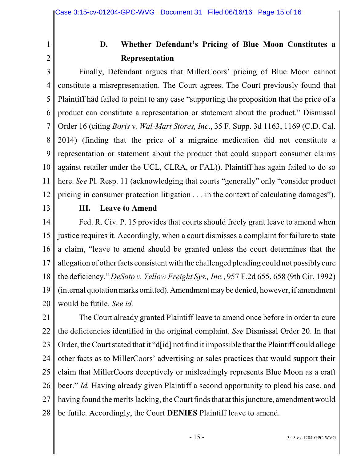1 2

# **D. Whether Defendant's Pricing of Blue Moon Constitutes a Representation**

3 4 5 6 7 8 9 10 11 12 Finally, Defendant argues that MillerCoors' pricing of Blue Moon cannot constitute a misrepresentation. The Court agrees. The Court previously found that Plaintiff had failed to point to any case "supporting the proposition that the price of a product can constitute a representation or statement about the product." Dismissal Order 16 (citing *Boris v. Wal-Mart Stores, Inc*., 35 F. Supp. 3d 1163, 1169 (C.D. Cal. 2014) (finding that the price of a migraine medication did not constitute a representation or statement about the product that could support consumer claims against retailer under the UCL, CLRA, or FAL)). Plaintiff has again failed to do so here. *See* Pl. Resp. 11 (acknowledging that courts "generally" only "consider product pricing in consumer protection litigation . . . in the context of calculating damages").

13

#### **III. Leave to Amend**

14 15 16 17 18 19 20 Fed. R. Civ. P. 15 provides that courts should freely grant leave to amend when justice requires it. Accordingly, when a court dismisses a complaint for failure to state a claim, "leave to amend should be granted unless the court determines that the allegation of other facts consistent with the challenged pleading could not possiblycure the deficiency." *DeSoto v. Yellow Freight Sys., Inc.*, 957 F.2d 655, 658 (9th Cir. 1992) (internal quotation marks omitted). Amendment may be denied, however, if amendment would be futile. *See id.*

21 22 23 24 25 26 27 28 The Court already granted Plaintiff leave to amend once before in order to cure the deficiencies identified in the original complaint. *See* Dismissal Order 20. In that Order, the Court stated that it "d[id] not find it impossible that the Plaintiff could allege other facts as to MillerCoors' advertising or sales practices that would support their claim that MillerCoors deceptively or misleadingly represents Blue Moon as a craft beer." *Id.* Having already given Plaintiff a second opportunity to plead his case, and having found the merits lacking, the Court finds that at this juncture, amendment would be futile. Accordingly, the Court **DENIES** Plaintiff leave to amend.